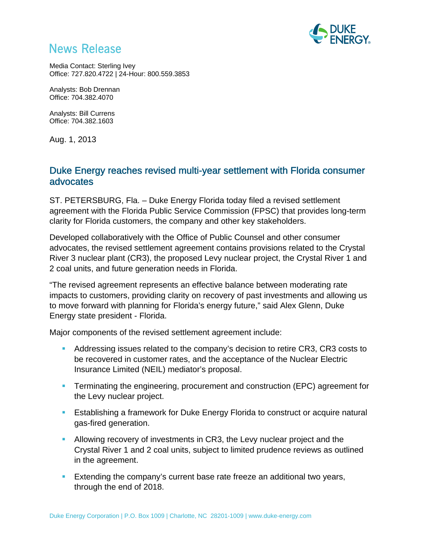

# **News Release**

Media Contact: Sterling Ivey Office: 727.820.4722 | 24-Hour: 800.559.3853

Analysts: Bob Drennan Office: 704.382.4070

Analysts: Bill Currens Office: 704.382.1603

Aug. 1, 2013

# Duke Energy reaches revised multi-year settlement with Florida consumer advocates

ST. PETERSBURG, Fla. – Duke Energy Florida today filed a revised settlement agreement with the Florida Public Service Commission (FPSC) that provides long-term clarity for Florida customers, the company and other key stakeholders.

Developed collaboratively with the Office of Public Counsel and other consumer advocates, the revised settlement agreement contains provisions related to the Crystal River 3 nuclear plant (CR3), the proposed Levy nuclear project, the Crystal River 1 and 2 coal units, and future generation needs in Florida.

"The revised agreement represents an effective balance between moderating rate impacts to customers, providing clarity on recovery of past investments and allowing us to move forward with planning for Florida's energy future," said Alex Glenn, Duke Energy state president - Florida.

Major components of the revised settlement agreement include:

- Addressing issues related to the company's decision to retire CR3, CR3 costs to be recovered in customer rates, and the acceptance of the Nuclear Electric Insurance Limited (NEIL) mediator's proposal.
- Terminating the engineering, procurement and construction (EPC) agreement for the Levy nuclear project.
- Establishing a framework for Duke Energy Florida to construct or acquire natural gas-fired generation.
- Allowing recovery of investments in CR3, the Levy nuclear project and the Crystal River 1 and 2 coal units, subject to limited prudence reviews as outlined in the agreement.
- **Extending the company's current base rate freeze an additional two years,** through the end of 2018.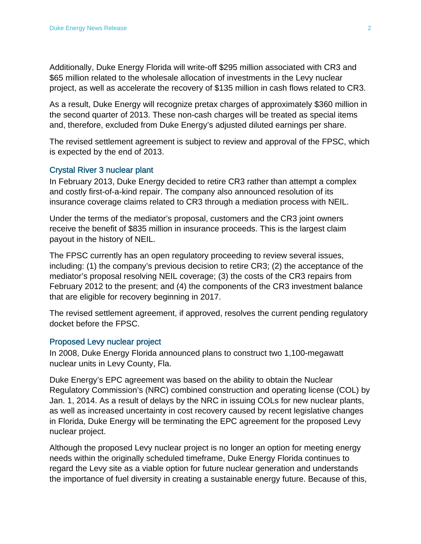Additionally, Duke Energy Florida will write-off \$295 million associated with CR3 and \$65 million related to the wholesale allocation of investments in the Levy nuclear project, as well as accelerate the recovery of \$135 million in cash flows related to CR3.

As a result, Duke Energy will recognize pretax charges of approximately \$360 million in the second quarter of 2013. These non-cash charges will be treated as special items and, therefore, excluded from Duke Energy's adjusted diluted earnings per share.

The revised settlement agreement is subject to review and approval of the FPSC, which is expected by the end of 2013.

### Crystal River 3 nuclear plant

In February 2013, Duke Energy decided to retire CR3 rather than attempt a complex and costly first-of-a-kind repair. The company also announced resolution of its insurance coverage claims related to CR3 through a mediation process with NEIL.

Under the terms of the mediator's proposal, customers and the CR3 joint owners receive the benefit of \$835 million in insurance proceeds. This is the largest claim payout in the history of NEIL.

The FPSC currently has an open regulatory proceeding to review several issues, including: (1) the company's previous decision to retire CR3; (2) the acceptance of the mediator's proposal resolving NEIL coverage; (3) the costs of the CR3 repairs from February 2012 to the present; and (4) the components of the CR3 investment balance that are eligible for recovery beginning in 2017.

The revised settlement agreement, if approved, resolves the current pending regulatory docket before the FPSC.

### Proposed Levy nuclear project

In 2008, Duke Energy Florida announced plans to construct two 1,100-megawatt nuclear units in Levy County, Fla.

Duke Energy's EPC agreement was based on the ability to obtain the Nuclear Regulatory Commission's (NRC) combined construction and operating license (COL) by Jan. 1, 2014. As a result of delays by the NRC in issuing COLs for new nuclear plants, as well as increased uncertainty in cost recovery caused by recent legislative changes in Florida, Duke Energy will be terminating the EPC agreement for the proposed Levy nuclear project.

Although the proposed Levy nuclear project is no longer an option for meeting energy needs within the originally scheduled timeframe, Duke Energy Florida continues to regard the Levy site as a viable option for future nuclear generation and understands the importance of fuel diversity in creating a sustainable energy future. Because of this,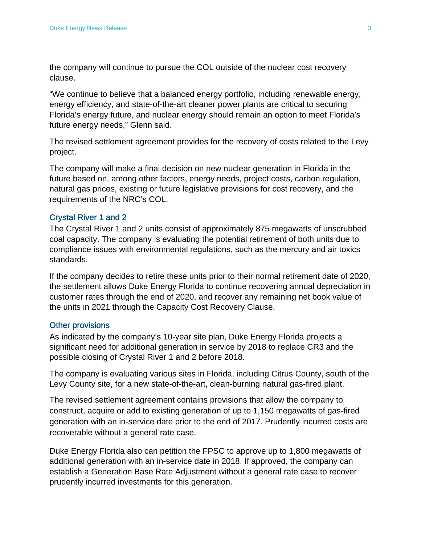the company will continue to pursue the COL outside of the nuclear cost recovery clause.

"We continue to believe that a balanced energy portfolio, including renewable energy, energy efficiency, and state-of-the-art cleaner power plants are critical to securing Florida's energy future, and nuclear energy should remain an option to meet Florida's future energy needs," Glenn said.

The revised settlement agreement provides for the recovery of costs related to the Levy project.

The company will make a final decision on new nuclear generation in Florida in the future based on, among other factors, energy needs, project costs, carbon regulation, natural gas prices, existing or future legislative provisions for cost recovery, and the requirements of the NRC's COL.

## Crystal River 1 and 2

The Crystal River 1 and 2 units consist of approximately 875 megawatts of unscrubbed coal capacity. The company is evaluating the potential retirement of both units due to compliance issues with environmental regulations, such as the mercury and air toxics standards.

If the company decides to retire these units prior to their normal retirement date of 2020, the settlement allows Duke Energy Florida to continue recovering annual depreciation in customer rates through the end of 2020, and recover any remaining net book value of the units in 2021 through the Capacity Cost Recovery Clause.

### Other provisions

As indicated by the company's 10-year site plan, Duke Energy Florida projects a significant need for additional generation in service by 2018 to replace CR3 and the possible closing of Crystal River 1 and 2 before 2018.

The company is evaluating various sites in Florida, including Citrus County, south of the Levy County site, for a new state-of-the-art, clean-burning natural gas-fired plant.

The revised settlement agreement contains provisions that allow the company to construct, acquire or add to existing generation of up to 1,150 megawatts of gas-fired generation with an in-service date prior to the end of 2017. Prudently incurred costs are recoverable without a general rate case.

Duke Energy Florida also can petition the FPSC to approve up to 1,800 megawatts of additional generation with an in-service date in 2018. If approved, the company can establish a Generation Base Rate Adjustment without a general rate case to recover prudently incurred investments for this generation.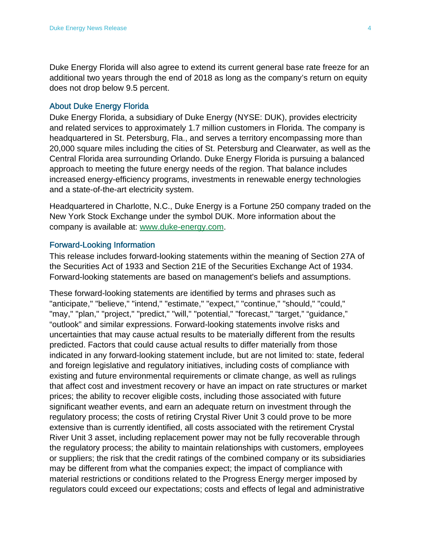Duke Energy Florida will also agree to extend its current general base rate freeze for an additional two years through the end of 2018 as long as the company's return on equity does not drop below 9.5 percent.

#### About Duke Energy Florida

Duke Energy Florida, a subsidiary of Duke Energy (NYSE: DUK), provides electricity and related services to approximately 1.7 million customers in Florida. The company is headquartered in St. Petersburg, Fla., and serves a territory encompassing more than 20,000 square miles including the cities of St. Petersburg and Clearwater, as well as the Central Florida area surrounding Orlando. Duke Energy Florida is pursuing a balanced approach to meeting the future energy needs of the region. That balance includes increased energy-efficiency programs, investments in renewable energy technologies and a state-of-the-art electricity system.

Headquartered in Charlotte, N.C., Duke Energy is a Fortune 250 company traded on the New York Stock Exchange under the symbol DUK. More information about the company is available at: www.duke-energy.com.

#### Forward-Looking Information

This release includes forward-looking statements within the meaning of Section 27A of the Securities Act of 1933 and Section 21E of the Securities Exchange Act of 1934. Forward-looking statements are based on management's beliefs and assumptions.

These forward-looking statements are identified by terms and phrases such as "anticipate," "believe," "intend," "estimate," "expect," "continue," "should," "could," "may," "plan," "project," "predict," "will," "potential," "forecast," "target," "guidance," "outlook" and similar expressions. Forward-looking statements involve risks and uncertainties that may cause actual results to be materially different from the results predicted. Factors that could cause actual results to differ materially from those indicated in any forward-looking statement include, but are not limited to: state, federal and foreign legislative and regulatory initiatives, including costs of compliance with existing and future environmental requirements or climate change, as well as rulings that affect cost and investment recovery or have an impact on rate structures or market prices; the ability to recover eligible costs, including those associated with future significant weather events, and earn an adequate return on investment through the regulatory process; the costs of retiring Crystal River Unit 3 could prove to be more extensive than is currently identified, all costs associated with the retirement Crystal River Unit 3 asset, including replacement power may not be fully recoverable through the regulatory process; the ability to maintain relationships with customers, employees or suppliers; the risk that the credit ratings of the combined company or its subsidiaries may be different from what the companies expect; the impact of compliance with material restrictions or conditions related to the Progress Energy merger imposed by regulators could exceed our expectations; costs and effects of legal and administrative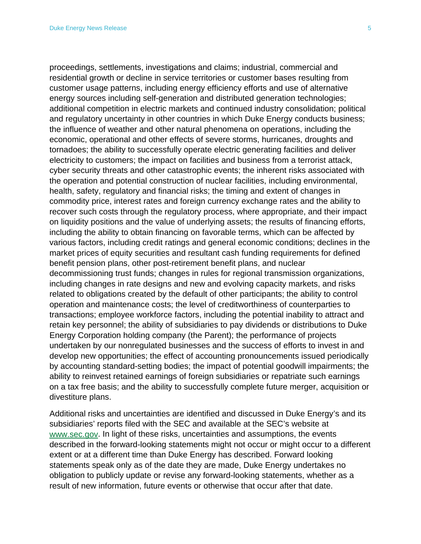proceedings, settlements, investigations and claims; industrial, commercial and residential growth or decline in service territories or customer bases resulting from customer usage patterns, including energy efficiency efforts and use of alternative energy sources including self-generation and distributed generation technologies; additional competition in electric markets and continued industry consolidation; political and regulatory uncertainty in other countries in which Duke Energy conducts business; the influence of weather and other natural phenomena on operations, including the economic, operational and other effects of severe storms, hurricanes, droughts and tornadoes; the ability to successfully operate electric generating facilities and deliver electricity to customers; the impact on facilities and business from a terrorist attack, cyber security threats and other catastrophic events; the inherent risks associated with the operation and potential construction of nuclear facilities, including environmental, health, safety, regulatory and financial risks; the timing and extent of changes in commodity price, interest rates and foreign currency exchange rates and the ability to recover such costs through the regulatory process, where appropriate, and their impact on liquidity positions and the value of underlying assets; the results of financing efforts, including the ability to obtain financing on favorable terms, which can be affected by various factors, including credit ratings and general economic conditions; declines in the market prices of equity securities and resultant cash funding requirements for defined benefit pension plans, other post-retirement benefit plans, and nuclear decommissioning trust funds; changes in rules for regional transmission organizations, including changes in rate designs and new and evolving capacity markets, and risks related to obligations created by the default of other participants; the ability to control operation and maintenance costs; the level of creditworthiness of counterparties to transactions; employee workforce factors, including the potential inability to attract and retain key personnel; the ability of subsidiaries to pay dividends or distributions to Duke Energy Corporation holding company (the Parent); the performance of projects undertaken by our nonregulated businesses and the success of efforts to invest in and develop new opportunities; the effect of accounting pronouncements issued periodically by accounting standard-setting bodies; the impact of potential goodwill impairments; the ability to reinvest retained earnings of foreign subsidiaries or repatriate such earnings on a tax free basis; and the ability to successfully complete future merger, acquisition or divestiture plans.

Additional risks and uncertainties are identified and discussed in Duke Energy's and its subsidiaries' reports filed with the SEC and available at the SEC's website at www.sec.gov. In light of these risks, uncertainties and assumptions, the events described in the forward-looking statements might not occur or might occur to a different extent or at a different time than Duke Energy has described. Forward looking statements speak only as of the date they are made, Duke Energy undertakes no obligation to publicly update or revise any forward-looking statements, whether as a result of new information, future events or otherwise that occur after that date.